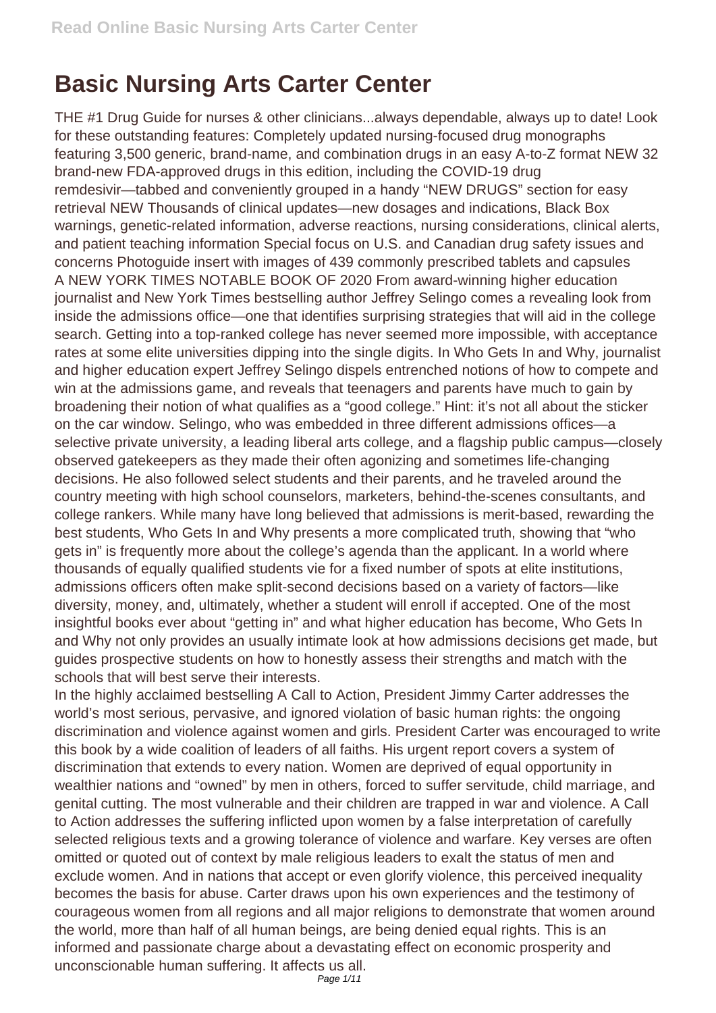## **Basic Nursing Arts Carter Center**

THE #1 Drug Guide for nurses & other clinicians...always dependable, always up to date! Look for these outstanding features: Completely updated nursing-focused drug monographs featuring 3,500 generic, brand-name, and combination drugs in an easy A-to-Z format NEW 32 brand-new FDA-approved drugs in this edition, including the COVID-19 drug remdesivir—tabbed and conveniently grouped in a handy "NEW DRUGS" section for easy retrieval NEW Thousands of clinical updates—new dosages and indications, Black Box warnings, genetic-related information, adverse reactions, nursing considerations, clinical alerts, and patient teaching information Special focus on U.S. and Canadian drug safety issues and concerns Photoguide insert with images of 439 commonly prescribed tablets and capsules A NEW YORK TIMES NOTABLE BOOK OF 2020 From award-winning higher education journalist and New York Times bestselling author Jeffrey Selingo comes a revealing look from inside the admissions office—one that identifies surprising strategies that will aid in the college search. Getting into a top-ranked college has never seemed more impossible, with acceptance rates at some elite universities dipping into the single digits. In Who Gets In and Why, journalist and higher education expert Jeffrey Selingo dispels entrenched notions of how to compete and win at the admissions game, and reveals that teenagers and parents have much to gain by broadening their notion of what qualifies as a "good college." Hint: it's not all about the sticker on the car window. Selingo, who was embedded in three different admissions offices—a selective private university, a leading liberal arts college, and a flagship public campus—closely observed gatekeepers as they made their often agonizing and sometimes life-changing decisions. He also followed select students and their parents, and he traveled around the country meeting with high school counselors, marketers, behind-the-scenes consultants, and college rankers. While many have long believed that admissions is merit-based, rewarding the best students, Who Gets In and Why presents a more complicated truth, showing that "who gets in" is frequently more about the college's agenda than the applicant. In a world where thousands of equally qualified students vie for a fixed number of spots at elite institutions, admissions officers often make split-second decisions based on a variety of factors—like diversity, money, and, ultimately, whether a student will enroll if accepted. One of the most insightful books ever about "getting in" and what higher education has become, Who Gets In and Why not only provides an usually intimate look at how admissions decisions get made, but guides prospective students on how to honestly assess their strengths and match with the schools that will best serve their interests.

In the highly acclaimed bestselling A Call to Action, President Jimmy Carter addresses the world's most serious, pervasive, and ignored violation of basic human rights: the ongoing discrimination and violence against women and girls. President Carter was encouraged to write this book by a wide coalition of leaders of all faiths. His urgent report covers a system of discrimination that extends to every nation. Women are deprived of equal opportunity in wealthier nations and "owned" by men in others, forced to suffer servitude, child marriage, and genital cutting. The most vulnerable and their children are trapped in war and violence. A Call to Action addresses the suffering inflicted upon women by a false interpretation of carefully selected religious texts and a growing tolerance of violence and warfare. Key verses are often omitted or quoted out of context by male religious leaders to exalt the status of men and exclude women. And in nations that accept or even glorify violence, this perceived inequality becomes the basis for abuse. Carter draws upon his own experiences and the testimony of courageous women from all regions and all major religions to demonstrate that women around the world, more than half of all human beings, are being denied equal rights. This is an informed and passionate charge about a devastating effect on economic prosperity and unconscionable human suffering. It affects us all.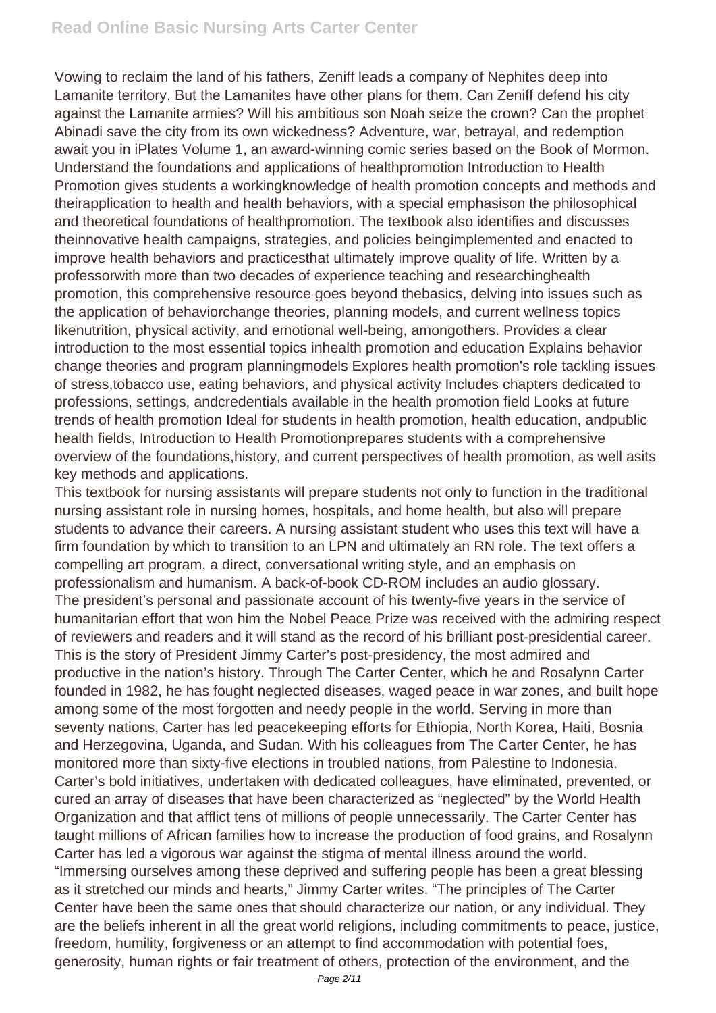## **Read Online Basic Nursing Arts Carter Center**

Vowing to reclaim the land of his fathers, Zeniff leads a company of Nephites deep into Lamanite territory. But the Lamanites have other plans for them. Can Zeniff defend his city against the Lamanite armies? Will his ambitious son Noah seize the crown? Can the prophet Abinadi save the city from its own wickedness? Adventure, war, betrayal, and redemption await you in iPlates Volume 1, an award-winning comic series based on the Book of Mormon. Understand the foundations and applications of healthpromotion Introduction to Health Promotion gives students a workingknowledge of health promotion concepts and methods and theirapplication to health and health behaviors, with a special emphasison the philosophical and theoretical foundations of healthpromotion. The textbook also identifies and discusses theinnovative health campaigns, strategies, and policies beingimplemented and enacted to improve health behaviors and practicesthat ultimately improve quality of life. Written by a professorwith more than two decades of experience teaching and researchinghealth promotion, this comprehensive resource goes beyond thebasics, delving into issues such as the application of behaviorchange theories, planning models, and current wellness topics likenutrition, physical activity, and emotional well-being, amongothers. Provides a clear introduction to the most essential topics inhealth promotion and education Explains behavior change theories and program planningmodels Explores health promotion's role tackling issues of stress,tobacco use, eating behaviors, and physical activity Includes chapters dedicated to professions, settings, andcredentials available in the health promotion field Looks at future trends of health promotion Ideal for students in health promotion, health education, andpublic health fields, Introduction to Health Promotionprepares students with a comprehensive overview of the foundations,history, and current perspectives of health promotion, as well asits key methods and applications.

This textbook for nursing assistants will prepare students not only to function in the traditional nursing assistant role in nursing homes, hospitals, and home health, but also will prepare students to advance their careers. A nursing assistant student who uses this text will have a firm foundation by which to transition to an LPN and ultimately an RN role. The text offers a compelling art program, a direct, conversational writing style, and an emphasis on professionalism and humanism. A back-of-book CD-ROM includes an audio glossary. The president's personal and passionate account of his twenty-five years in the service of humanitarian effort that won him the Nobel Peace Prize was received with the admiring respect of reviewers and readers and it will stand as the record of his brilliant post-presidential career. This is the story of President Jimmy Carter's post-presidency, the most admired and productive in the nation's history. Through The Carter Center, which he and Rosalynn Carter founded in 1982, he has fought neglected diseases, waged peace in war zones, and built hope among some of the most forgotten and needy people in the world. Serving in more than seventy nations, Carter has led peacekeeping efforts for Ethiopia, North Korea, Haiti, Bosnia and Herzegovina, Uganda, and Sudan. With his colleagues from The Carter Center, he has monitored more than sixty-five elections in troubled nations, from Palestine to Indonesia. Carter's bold initiatives, undertaken with dedicated colleagues, have eliminated, prevented, or cured an array of diseases that have been characterized as "neglected" by the World Health Organization and that afflict tens of millions of people unnecessarily. The Carter Center has taught millions of African families how to increase the production of food grains, and Rosalynn Carter has led a vigorous war against the stigma of mental illness around the world. "Immersing ourselves among these deprived and suffering people has been a great blessing as it stretched our minds and hearts," Jimmy Carter writes. "The principles of The Carter Center have been the same ones that should characterize our nation, or any individual. They are the beliefs inherent in all the great world religions, including commitments to peace, justice, freedom, humility, forgiveness or an attempt to find accommodation with potential foes, generosity, human rights or fair treatment of others, protection of the environment, and the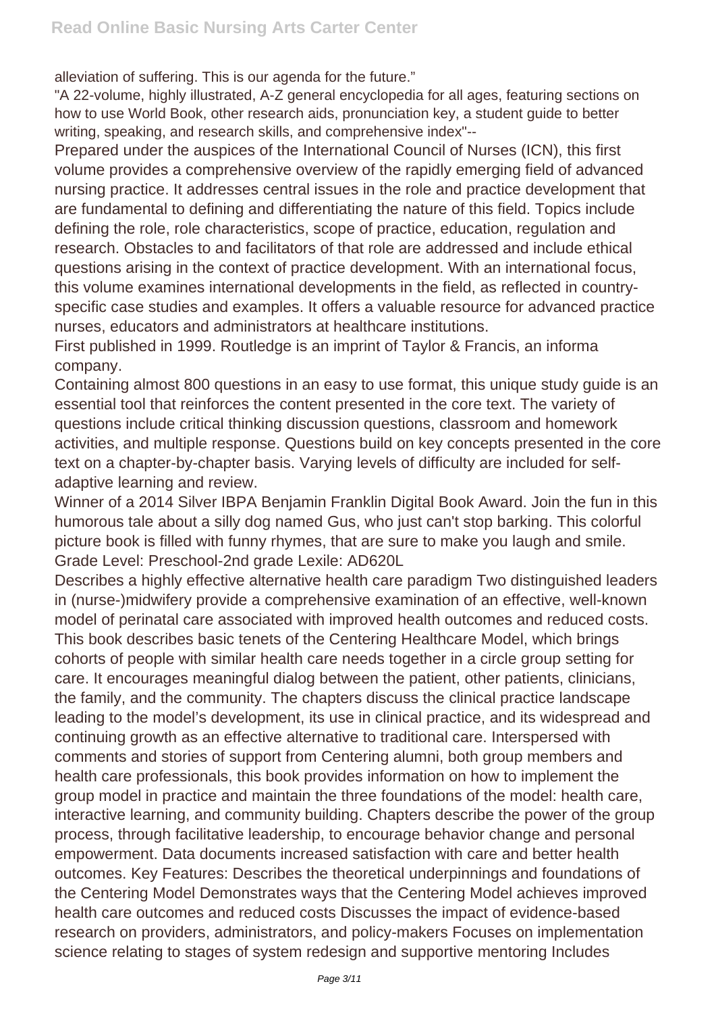alleviation of suffering. This is our agenda for the future."

"A 22-volume, highly illustrated, A-Z general encyclopedia for all ages, featuring sections on how to use World Book, other research aids, pronunciation key, a student guide to better writing, speaking, and research skills, and comprehensive index"--

Prepared under the auspices of the International Council of Nurses (ICN), this first volume provides a comprehensive overview of the rapidly emerging field of advanced nursing practice. It addresses central issues in the role and practice development that are fundamental to defining and differentiating the nature of this field. Topics include defining the role, role characteristics, scope of practice, education, regulation and research. Obstacles to and facilitators of that role are addressed and include ethical questions arising in the context of practice development. With an international focus, this volume examines international developments in the field, as reflected in countryspecific case studies and examples. It offers a valuable resource for advanced practice nurses, educators and administrators at healthcare institutions.

First published in 1999. Routledge is an imprint of Taylor & Francis, an informa company.

Containing almost 800 questions in an easy to use format, this unique study guide is an essential tool that reinforces the content presented in the core text. The variety of questions include critical thinking discussion questions, classroom and homework activities, and multiple response. Questions build on key concepts presented in the core text on a chapter-by-chapter basis. Varying levels of difficulty are included for selfadaptive learning and review.

Winner of a 2014 Silver IBPA Benjamin Franklin Digital Book Award. Join the fun in this humorous tale about a silly dog named Gus, who just can't stop barking. This colorful picture book is filled with funny rhymes, that are sure to make you laugh and smile. Grade Level: Preschool-2nd grade Lexile: AD620L

Describes a highly effective alternative health care paradigm Two distinguished leaders in (nurse-)midwifery provide a comprehensive examination of an effective, well-known model of perinatal care associated with improved health outcomes and reduced costs. This book describes basic tenets of the Centering Healthcare Model, which brings cohorts of people with similar health care needs together in a circle group setting for care. It encourages meaningful dialog between the patient, other patients, clinicians, the family, and the community. The chapters discuss the clinical practice landscape leading to the model's development, its use in clinical practice, and its widespread and continuing growth as an effective alternative to traditional care. Interspersed with comments and stories of support from Centering alumni, both group members and health care professionals, this book provides information on how to implement the group model in practice and maintain the three foundations of the model: health care, interactive learning, and community building. Chapters describe the power of the group process, through facilitative leadership, to encourage behavior change and personal empowerment. Data documents increased satisfaction with care and better health outcomes. Key Features: Describes the theoretical underpinnings and foundations of the Centering Model Demonstrates ways that the Centering Model achieves improved health care outcomes and reduced costs Discusses the impact of evidence-based research on providers, administrators, and policy-makers Focuses on implementation science relating to stages of system redesign and supportive mentoring Includes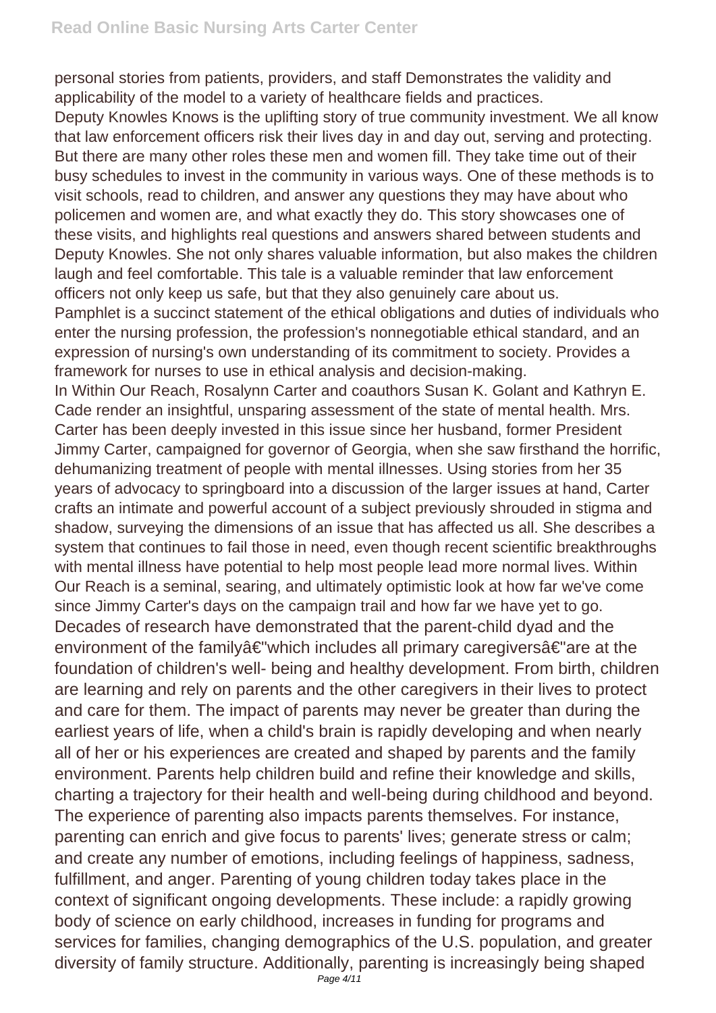personal stories from patients, providers, and staff Demonstrates the validity and applicability of the model to a variety of healthcare fields and practices.

Deputy Knowles Knows is the uplifting story of true community investment. We all know that law enforcement officers risk their lives day in and day out, serving and protecting. But there are many other roles these men and women fill. They take time out of their busy schedules to invest in the community in various ways. One of these methods is to visit schools, read to children, and answer any questions they may have about who policemen and women are, and what exactly they do. This story showcases one of these visits, and highlights real questions and answers shared between students and Deputy Knowles. She not only shares valuable information, but also makes the children laugh and feel comfortable. This tale is a valuable reminder that law enforcement officers not only keep us safe, but that they also genuinely care about us.

Pamphlet is a succinct statement of the ethical obligations and duties of individuals who enter the nursing profession, the profession's nonnegotiable ethical standard, and an expression of nursing's own understanding of its commitment to society. Provides a framework for nurses to use in ethical analysis and decision-making.

In Within Our Reach, Rosalynn Carter and coauthors Susan K. Golant and Kathryn E. Cade render an insightful, unsparing assessment of the state of mental health. Mrs. Carter has been deeply invested in this issue since her husband, former President Jimmy Carter, campaigned for governor of Georgia, when she saw firsthand the horrific, dehumanizing treatment of people with mental illnesses. Using stories from her 35 years of advocacy to springboard into a discussion of the larger issues at hand, Carter crafts an intimate and powerful account of a subject previously shrouded in stigma and shadow, surveying the dimensions of an issue that has affected us all. She describes a system that continues to fail those in need, even though recent scientific breakthroughs with mental illness have potential to help most people lead more normal lives. Within Our Reach is a seminal, searing, and ultimately optimistic look at how far we've come since Jimmy Carter's days on the campaign trail and how far we have yet to go. Decades of research have demonstrated that the parent-child dyad and the environment of the familyâ€"which includes all primary caregiversâ€"are at the foundation of children's well- being and healthy development. From birth, children are learning and rely on parents and the other caregivers in their lives to protect and care for them. The impact of parents may never be greater than during the earliest years of life, when a child's brain is rapidly developing and when nearly all of her or his experiences are created and shaped by parents and the family environment. Parents help children build and refine their knowledge and skills, charting a trajectory for their health and well-being during childhood and beyond. The experience of parenting also impacts parents themselves. For instance, parenting can enrich and give focus to parents' lives; generate stress or calm; and create any number of emotions, including feelings of happiness, sadness, fulfillment, and anger. Parenting of young children today takes place in the context of significant ongoing developments. These include: a rapidly growing body of science on early childhood, increases in funding for programs and services for families, changing demographics of the U.S. population, and greater diversity of family structure. Additionally, parenting is increasingly being shaped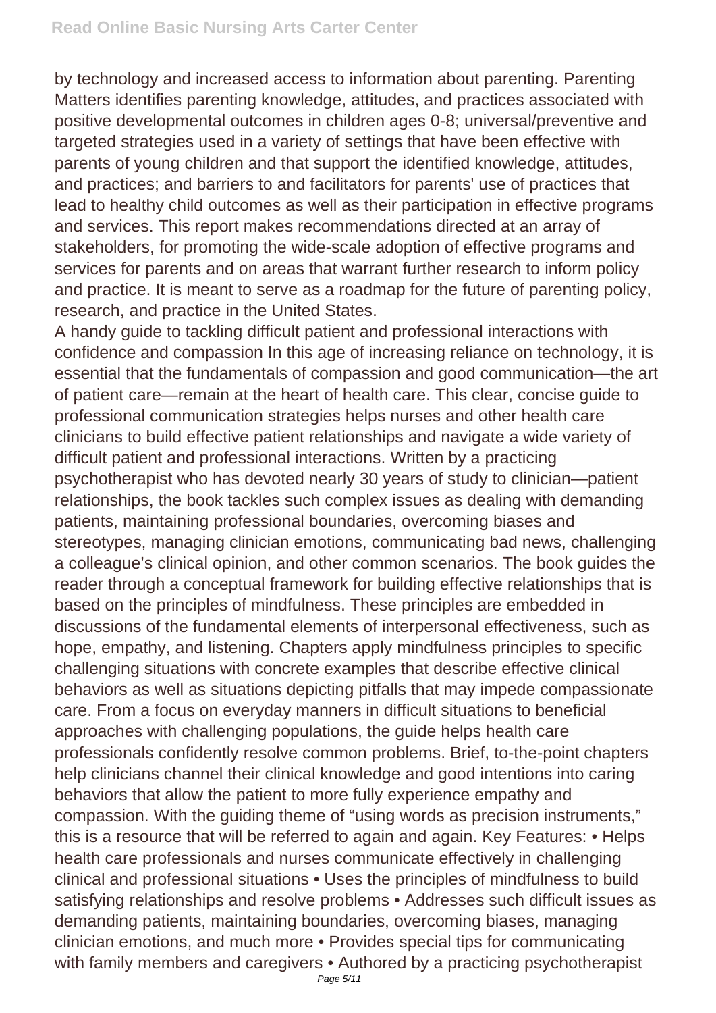by technology and increased access to information about parenting. Parenting Matters identifies parenting knowledge, attitudes, and practices associated with positive developmental outcomes in children ages 0-8; universal/preventive and targeted strategies used in a variety of settings that have been effective with parents of young children and that support the identified knowledge, attitudes, and practices; and barriers to and facilitators for parents' use of practices that lead to healthy child outcomes as well as their participation in effective programs and services. This report makes recommendations directed at an array of stakeholders, for promoting the wide-scale adoption of effective programs and services for parents and on areas that warrant further research to inform policy and practice. It is meant to serve as a roadmap for the future of parenting policy, research, and practice in the United States.

A handy guide to tackling difficult patient and professional interactions with confidence and compassion In this age of increasing reliance on technology, it is essential that the fundamentals of compassion and good communication—the art of patient care—remain at the heart of health care. This clear, concise guide to professional communication strategies helps nurses and other health care clinicians to build effective patient relationships and navigate a wide variety of difficult patient and professional interactions. Written by a practicing psychotherapist who has devoted nearly 30 years of study to clinician—patient relationships, the book tackles such complex issues as dealing with demanding patients, maintaining professional boundaries, overcoming biases and stereotypes, managing clinician emotions, communicating bad news, challenging a colleague's clinical opinion, and other common scenarios. The book guides the reader through a conceptual framework for building effective relationships that is based on the principles of mindfulness. These principles are embedded in discussions of the fundamental elements of interpersonal effectiveness, such as hope, empathy, and listening. Chapters apply mindfulness principles to specific challenging situations with concrete examples that describe effective clinical behaviors as well as situations depicting pitfalls that may impede compassionate care. From a focus on everyday manners in difficult situations to beneficial approaches with challenging populations, the guide helps health care professionals confidently resolve common problems. Brief, to-the-point chapters help clinicians channel their clinical knowledge and good intentions into caring behaviors that allow the patient to more fully experience empathy and compassion. With the guiding theme of "using words as precision instruments," this is a resource that will be referred to again and again. Key Features: • Helps health care professionals and nurses communicate effectively in challenging clinical and professional situations • Uses the principles of mindfulness to build satisfying relationships and resolve problems • Addresses such difficult issues as demanding patients, maintaining boundaries, overcoming biases, managing clinician emotions, and much more • Provides special tips for communicating with family members and caregivers • Authored by a practicing psychotherapist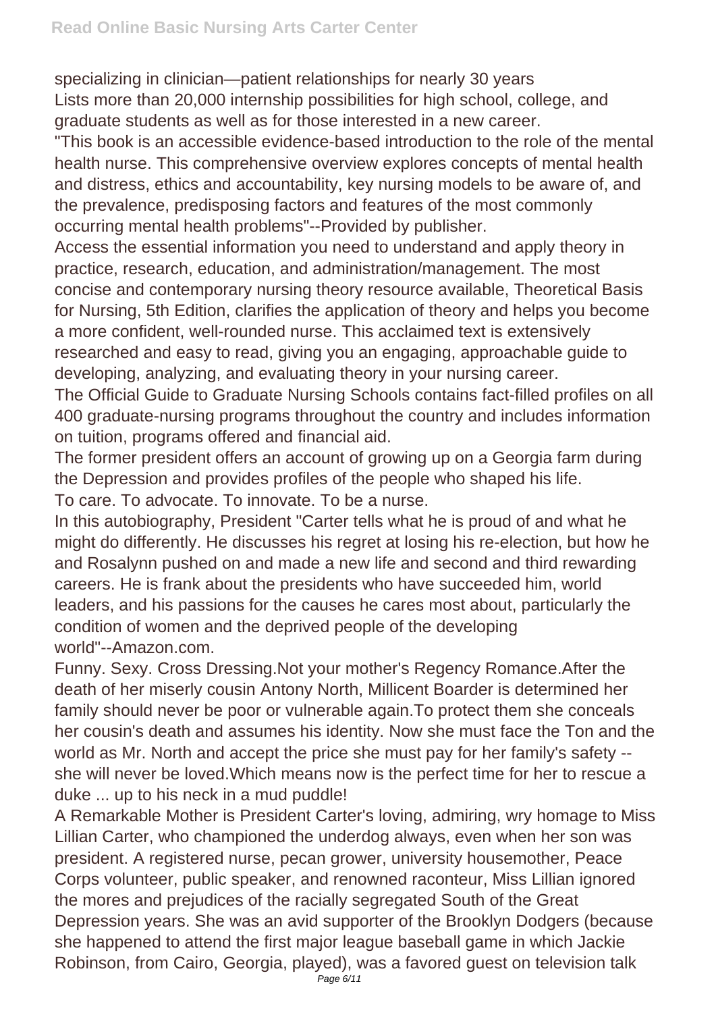specializing in clinician—patient relationships for nearly 30 years Lists more than 20,000 internship possibilities for high school, college, and graduate students as well as for those interested in a new career.

"This book is an accessible evidence-based introduction to the role of the mental health nurse. This comprehensive overview explores concepts of mental health and distress, ethics and accountability, key nursing models to be aware of, and the prevalence, predisposing factors and features of the most commonly occurring mental health problems"--Provided by publisher.

Access the essential information you need to understand and apply theory in practice, research, education, and administration/management. The most concise and contemporary nursing theory resource available, Theoretical Basis for Nursing, 5th Edition, clarifies the application of theory and helps you become a more confident, well-rounded nurse. This acclaimed text is extensively researched and easy to read, giving you an engaging, approachable guide to developing, analyzing, and evaluating theory in your nursing career.

The Official Guide to Graduate Nursing Schools contains fact-filled profiles on all 400 graduate-nursing programs throughout the country and includes information on tuition, programs offered and financial aid.

The former president offers an account of growing up on a Georgia farm during the Depression and provides profiles of the people who shaped his life. To care. To advocate. To innovate. To be a nurse.

In this autobiography, President "Carter tells what he is proud of and what he might do differently. He discusses his regret at losing his re-election, but how he and Rosalynn pushed on and made a new life and second and third rewarding careers. He is frank about the presidents who have succeeded him, world leaders, and his passions for the causes he cares most about, particularly the condition of women and the deprived people of the developing world"--Amazon.com.

Funny. Sexy. Cross Dressing.Not your mother's Regency Romance.After the death of her miserly cousin Antony North, Millicent Boarder is determined her family should never be poor or vulnerable again.To protect them she conceals her cousin's death and assumes his identity. Now she must face the Ton and the world as Mr. North and accept the price she must pay for her family's safety - she will never be loved.Which means now is the perfect time for her to rescue a duke ... up to his neck in a mud puddle!

A Remarkable Mother is President Carter's loving, admiring, wry homage to Miss Lillian Carter, who championed the underdog always, even when her son was president. A registered nurse, pecan grower, university housemother, Peace Corps volunteer, public speaker, and renowned raconteur, Miss Lillian ignored the mores and prejudices of the racially segregated South of the Great Depression years. She was an avid supporter of the Brooklyn Dodgers (because she happened to attend the first major league baseball game in which Jackie Robinson, from Cairo, Georgia, played), was a favored guest on television talk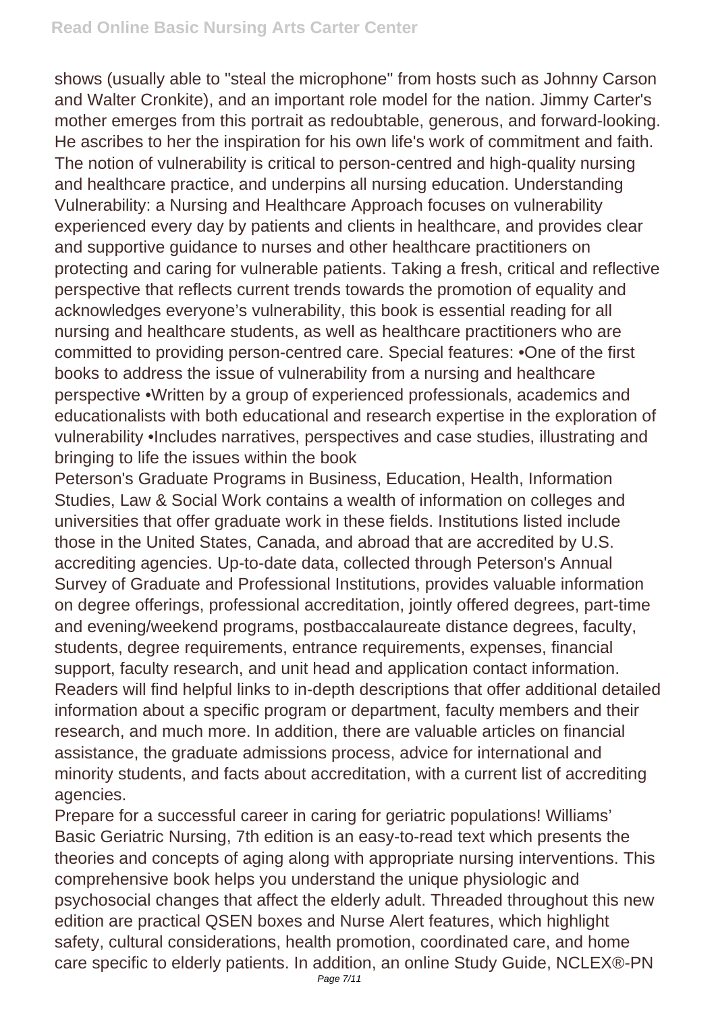shows (usually able to "steal the microphone" from hosts such as Johnny Carson and Walter Cronkite), and an important role model for the nation. Jimmy Carter's mother emerges from this portrait as redoubtable, generous, and forward-looking. He ascribes to her the inspiration for his own life's work of commitment and faith. The notion of vulnerability is critical to person-centred and high-quality nursing and healthcare practice, and underpins all nursing education. Understanding Vulnerability: a Nursing and Healthcare Approach focuses on vulnerability experienced every day by patients and clients in healthcare, and provides clear and supportive guidance to nurses and other healthcare practitioners on protecting and caring for vulnerable patients. Taking a fresh, critical and reflective perspective that reflects current trends towards the promotion of equality and acknowledges everyone's vulnerability, this book is essential reading for all nursing and healthcare students, as well as healthcare practitioners who are committed to providing person-centred care. Special features: •One of the first books to address the issue of vulnerability from a nursing and healthcare perspective •Written by a group of experienced professionals, academics and educationalists with both educational and research expertise in the exploration of vulnerability •Includes narratives, perspectives and case studies, illustrating and bringing to life the issues within the book

Peterson's Graduate Programs in Business, Education, Health, Information Studies, Law & Social Work contains a wealth of information on colleges and universities that offer graduate work in these fields. Institutions listed include those in the United States, Canada, and abroad that are accredited by U.S. accrediting agencies. Up-to-date data, collected through Peterson's Annual Survey of Graduate and Professional Institutions, provides valuable information on degree offerings, professional accreditation, jointly offered degrees, part-time and evening/weekend programs, postbaccalaureate distance degrees, faculty, students, degree requirements, entrance requirements, expenses, financial support, faculty research, and unit head and application contact information. Readers will find helpful links to in-depth descriptions that offer additional detailed information about a specific program or department, faculty members and their research, and much more. In addition, there are valuable articles on financial assistance, the graduate admissions process, advice for international and minority students, and facts about accreditation, with a current list of accrediting agencies.

Prepare for a successful career in caring for geriatric populations! Williams' Basic Geriatric Nursing, 7th edition is an easy-to-read text which presents the theories and concepts of aging along with appropriate nursing interventions. This comprehensive book helps you understand the unique physiologic and psychosocial changes that affect the elderly adult. Threaded throughout this new edition are practical QSEN boxes and Nurse Alert features, which highlight safety, cultural considerations, health promotion, coordinated care, and home care specific to elderly patients. In addition, an online Study Guide, NCLEX®-PN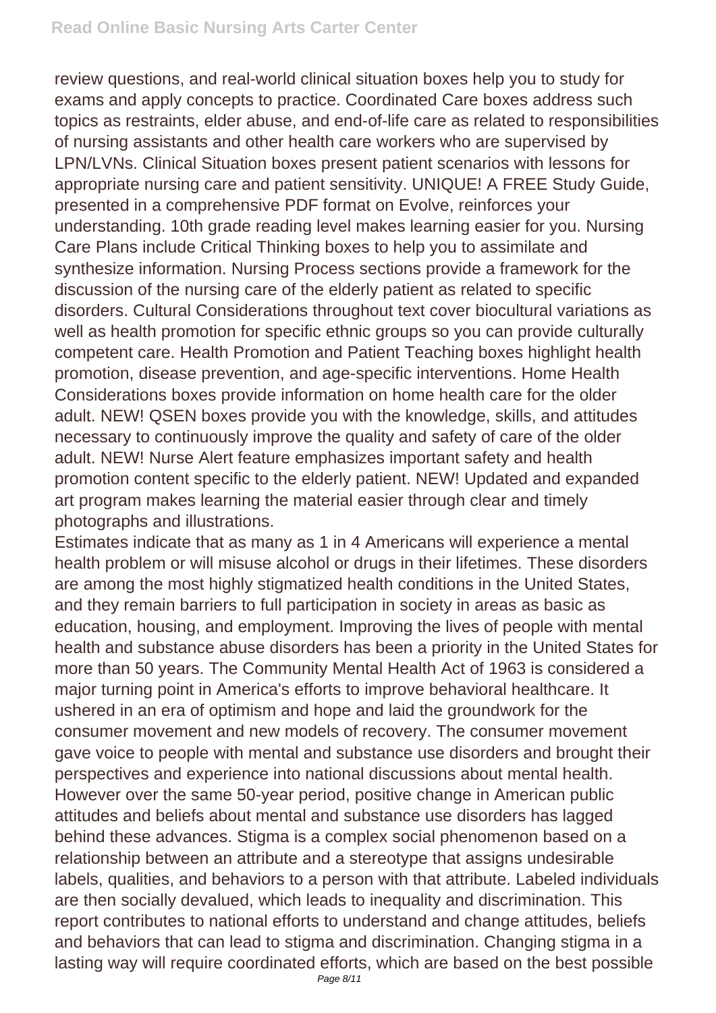review questions, and real-world clinical situation boxes help you to study for exams and apply concepts to practice. Coordinated Care boxes address such topics as restraints, elder abuse, and end-of-life care as related to responsibilities of nursing assistants and other health care workers who are supervised by LPN/LVNs. Clinical Situation boxes present patient scenarios with lessons for appropriate nursing care and patient sensitivity. UNIQUE! A FREE Study Guide, presented in a comprehensive PDF format on Evolve, reinforces your understanding. 10th grade reading level makes learning easier for you. Nursing Care Plans include Critical Thinking boxes to help you to assimilate and synthesize information. Nursing Process sections provide a framework for the discussion of the nursing care of the elderly patient as related to specific disorders. Cultural Considerations throughout text cover biocultural variations as well as health promotion for specific ethnic groups so you can provide culturally competent care. Health Promotion and Patient Teaching boxes highlight health promotion, disease prevention, and age-specific interventions. Home Health Considerations boxes provide information on home health care for the older adult. NEW! QSEN boxes provide you with the knowledge, skills, and attitudes necessary to continuously improve the quality and safety of care of the older adult. NEW! Nurse Alert feature emphasizes important safety and health promotion content specific to the elderly patient. NEW! Updated and expanded art program makes learning the material easier through clear and timely photographs and illustrations.

Estimates indicate that as many as 1 in 4 Americans will experience a mental health problem or will misuse alcohol or drugs in their lifetimes. These disorders are among the most highly stigmatized health conditions in the United States, and they remain barriers to full participation in society in areas as basic as education, housing, and employment. Improving the lives of people with mental health and substance abuse disorders has been a priority in the United States for more than 50 years. The Community Mental Health Act of 1963 is considered a major turning point in America's efforts to improve behavioral healthcare. It ushered in an era of optimism and hope and laid the groundwork for the consumer movement and new models of recovery. The consumer movement gave voice to people with mental and substance use disorders and brought their perspectives and experience into national discussions about mental health. However over the same 50-year period, positive change in American public attitudes and beliefs about mental and substance use disorders has lagged behind these advances. Stigma is a complex social phenomenon based on a relationship between an attribute and a stereotype that assigns undesirable labels, qualities, and behaviors to a person with that attribute. Labeled individuals are then socially devalued, which leads to inequality and discrimination. This report contributes to national efforts to understand and change attitudes, beliefs and behaviors that can lead to stigma and discrimination. Changing stigma in a lasting way will require coordinated efforts, which are based on the best possible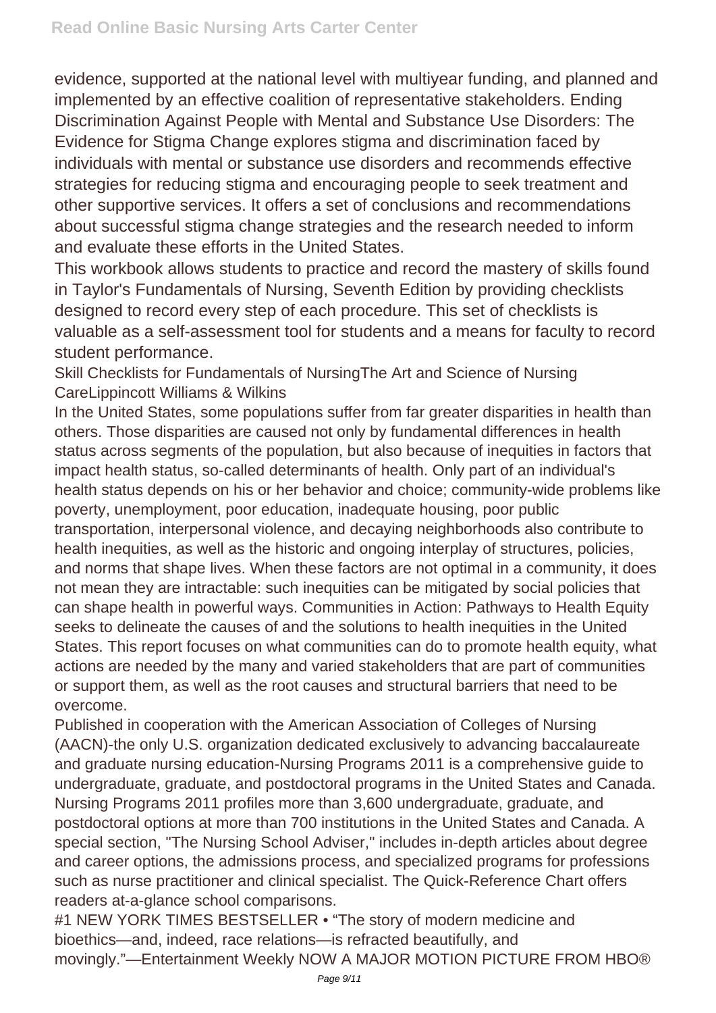evidence, supported at the national level with multiyear funding, and planned and implemented by an effective coalition of representative stakeholders. Ending Discrimination Against People with Mental and Substance Use Disorders: The Evidence for Stigma Change explores stigma and discrimination faced by individuals with mental or substance use disorders and recommends effective strategies for reducing stigma and encouraging people to seek treatment and other supportive services. It offers a set of conclusions and recommendations about successful stigma change strategies and the research needed to inform and evaluate these efforts in the United States.

This workbook allows students to practice and record the mastery of skills found in Taylor's Fundamentals of Nursing, Seventh Edition by providing checklists designed to record every step of each procedure. This set of checklists is valuable as a self-assessment tool for students and a means for faculty to record student performance.

Skill Checklists for Fundamentals of NursingThe Art and Science of Nursing CareLippincott Williams & Wilkins

In the United States, some populations suffer from far greater disparities in health than others. Those disparities are caused not only by fundamental differences in health status across segments of the population, but also because of inequities in factors that impact health status, so-called determinants of health. Only part of an individual's health status depends on his or her behavior and choice; community-wide problems like poverty, unemployment, poor education, inadequate housing, poor public transportation, interpersonal violence, and decaying neighborhoods also contribute to health inequities, as well as the historic and ongoing interplay of structures, policies, and norms that shape lives. When these factors are not optimal in a community, it does not mean they are intractable: such inequities can be mitigated by social policies that can shape health in powerful ways. Communities in Action: Pathways to Health Equity seeks to delineate the causes of and the solutions to health inequities in the United States. This report focuses on what communities can do to promote health equity, what actions are needed by the many and varied stakeholders that are part of communities or support them, as well as the root causes and structural barriers that need to be overcome.

Published in cooperation with the American Association of Colleges of Nursing (AACN)-the only U.S. organization dedicated exclusively to advancing baccalaureate and graduate nursing education-Nursing Programs 2011 is a comprehensive guide to undergraduate, graduate, and postdoctoral programs in the United States and Canada. Nursing Programs 2011 profiles more than 3,600 undergraduate, graduate, and postdoctoral options at more than 700 institutions in the United States and Canada. A special section, "The Nursing School Adviser," includes in-depth articles about degree and career options, the admissions process, and specialized programs for professions such as nurse practitioner and clinical specialist. The Quick-Reference Chart offers readers at-a-glance school comparisons.

#1 NEW YORK TIMES BESTSELLER • "The story of modern medicine and bioethics—and, indeed, race relations—is refracted beautifully, and movingly."—Entertainment Weekly NOW A MAJOR MOTION PICTURE FROM HBO®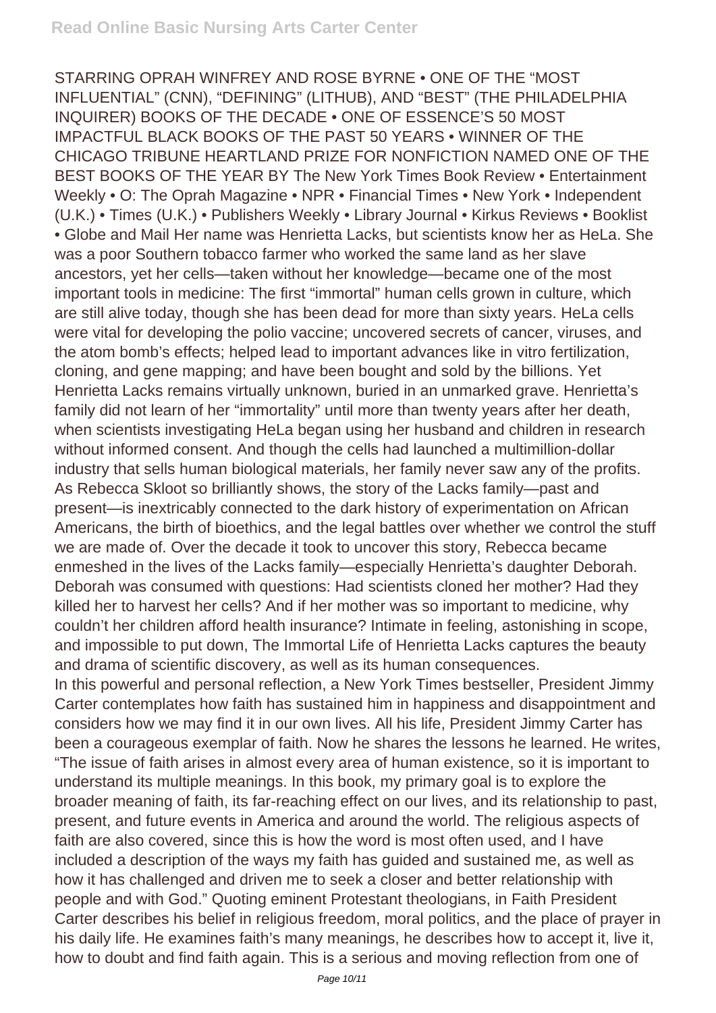STARRING OPRAH WINFREY AND ROSE BYRNE • ONE OF THE "MOST INFLUENTIAL" (CNN), "DEFINING" (LITHUB), AND "BEST" (THE PHILADELPHIA INQUIRER) BOOKS OF THE DECADE • ONE OF ESSENCE'S 50 MOST IMPACTFUL BLACK BOOKS OF THE PAST 50 YEARS • WINNER OF THE CHICAGO TRIBUNE HEARTLAND PRIZE FOR NONFICTION NAMED ONE OF THE BEST BOOKS OF THE YEAR BY The New York Times Book Review • Entertainment Weekly • O: The Oprah Magazine • NPR • Financial Times • New York • Independent (U.K.) • Times (U.K.) • Publishers Weekly • Library Journal • Kirkus Reviews • Booklist • Globe and Mail Her name was Henrietta Lacks, but scientists know her as HeLa. She was a poor Southern tobacco farmer who worked the same land as her slave ancestors, yet her cells—taken without her knowledge—became one of the most important tools in medicine: The first "immortal" human cells grown in culture, which are still alive today, though she has been dead for more than sixty years. HeLa cells were vital for developing the polio vaccine; uncovered secrets of cancer, viruses, and the atom bomb's effects; helped lead to important advances like in vitro fertilization, cloning, and gene mapping; and have been bought and sold by the billions. Yet Henrietta Lacks remains virtually unknown, buried in an unmarked grave. Henrietta's family did not learn of her "immortality" until more than twenty years after her death, when scientists investigating HeLa began using her husband and children in research without informed consent. And though the cells had launched a multimillion-dollar industry that sells human biological materials, her family never saw any of the profits. As Rebecca Skloot so brilliantly shows, the story of the Lacks family—past and present—is inextricably connected to the dark history of experimentation on African Americans, the birth of bioethics, and the legal battles over whether we control the stuff we are made of. Over the decade it took to uncover this story, Rebecca became enmeshed in the lives of the Lacks family—especially Henrietta's daughter Deborah. Deborah was consumed with questions: Had scientists cloned her mother? Had they killed her to harvest her cells? And if her mother was so important to medicine, why couldn't her children afford health insurance? Intimate in feeling, astonishing in scope, and impossible to put down, The Immortal Life of Henrietta Lacks captures the beauty and drama of scientific discovery, as well as its human consequences. In this powerful and personal reflection, a New York Times bestseller, President Jimmy Carter contemplates how faith has sustained him in happiness and disappointment and considers how we may find it in our own lives. All his life, President Jimmy Carter has been a courageous exemplar of faith. Now he shares the lessons he learned. He writes, "The issue of faith arises in almost every area of human existence, so it is important to understand its multiple meanings. In this book, my primary goal is to explore the broader meaning of faith, its far-reaching effect on our lives, and its relationship to past, present, and future events in America and around the world. The religious aspects of faith are also covered, since this is how the word is most often used, and I have included a description of the ways my faith has guided and sustained me, as well as how it has challenged and driven me to seek a closer and better relationship with people and with God." Quoting eminent Protestant theologians, in Faith President Carter describes his belief in religious freedom, moral politics, and the place of prayer in his daily life. He examines faith's many meanings, he describes how to accept it, live it, how to doubt and find faith again. This is a serious and moving reflection from one of